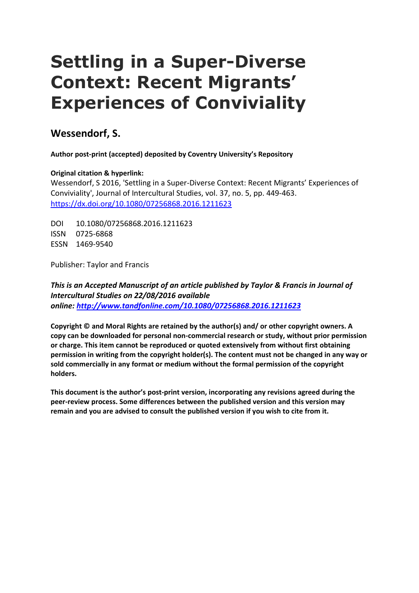# **Settling in a Super-Diverse Context: Recent Migrants' Experiences of Conviviality**

# **Wessendorf, S.**

**Author post-print (accepted) deposited by Coventry University's Repository**

# **Original citation & hyperlink:**

Wessendorf, S 2016, 'Settling in a Super-Diverse Context: Recent Migrants' Experiences of Conviviality', Journal of Intercultural Studies, vol. 37, no. 5, pp. 449-463. <https://dx.doi.org/10.1080/07256868.2016.1211623>

DOI 10.1080/07256868.2016.1211623 ISSN 0725-6868 ESSN 1469-9540

Publisher: Taylor and Francis

*This is an Accepted Manuscript of an article published by Taylor & Francis in Journal of Intercultural Studies on 22/08/2016 available online: [http://www.tandfonline.com/10.1080/07256868.2016.1211623](http://www.tandfonline.com/%5bDOI%5d)*

**Copyright © and Moral Rights are retained by the author(s) and/ or other copyright owners. A copy can be downloaded for personal non-commercial research or study, without prior permission or charge. This item cannot be reproduced or quoted extensively from without first obtaining permission in writing from the copyright holder(s). The content must not be changed in any way or sold commercially in any format or medium without the formal permission of the copyright holders.** 

**This document is the author's post-print version, incorporating any revisions agreed during the peer-review process. Some differences between the published version and this version may remain and you are advised to consult the published version if you wish to cite from it.**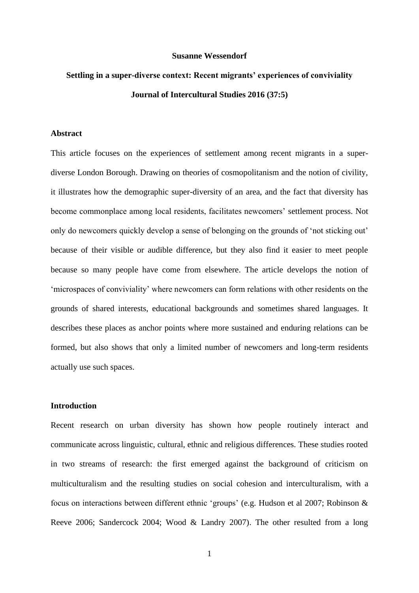#### **Susanne Wessendorf**

# **Settling in a super-diverse context: Recent migrants' experiences of conviviality Journal of Intercultural Studies 2016 (37:5)**

### **Abstract**

This article focuses on the experiences of settlement among recent migrants in a superdiverse London Borough. Drawing on theories of cosmopolitanism and the notion of civility, it illustrates how the demographic super-diversity of an area, and the fact that diversity has become commonplace among local residents, facilitates newcomers' settlement process. Not only do newcomers quickly develop a sense of belonging on the grounds of 'not sticking out' because of their visible or audible difference, but they also find it easier to meet people because so many people have come from elsewhere. The article develops the notion of 'microspaces of conviviality' where newcomers can form relations with other residents on the grounds of shared interests, educational backgrounds and sometimes shared languages. It describes these places as anchor points where more sustained and enduring relations can be formed, but also shows that only a limited number of newcomers and long-term residents actually use such spaces.

## **Introduction**

Recent research on urban diversity has shown how people routinely interact and communicate across linguistic, cultural, ethnic and religious differences. These studies rooted in two streams of research: the first emerged against the background of criticism on multiculturalism and the resulting studies on social cohesion and interculturalism, with a focus on interactions between different ethnic 'groups' (e.g. Hudson et al 2007; Robinson & Reeve 2006; Sandercock 2004; Wood & Landry 2007). The other resulted from a long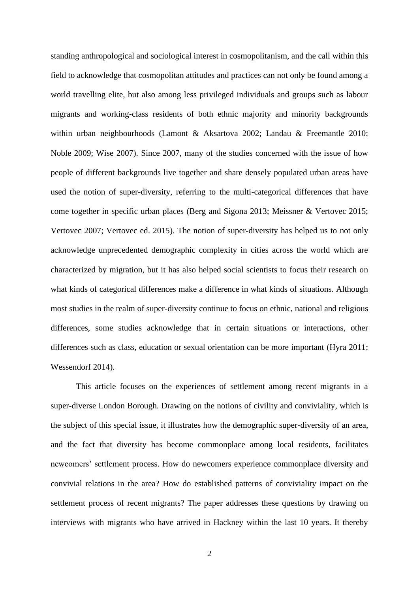standing anthropological and sociological interest in cosmopolitanism, and the call within this field to acknowledge that cosmopolitan attitudes and practices can not only be found among a world travelling elite, but also among less privileged individuals and groups such as labour migrants and working-class residents of both ethnic majority and minority backgrounds within urban neighbourhoods (Lamont & Aksartova 2002; Landau & Freemantle 2010; Noble 2009; Wise 2007). Since 2007, many of the studies concerned with the issue of how people of different backgrounds live together and share densely populated urban areas have used the notion of super-diversity, referring to the multi-categorical differences that have come together in specific urban places (Berg and Sigona 2013; Meissner & Vertovec 2015; Vertovec 2007; Vertovec ed. 2015). The notion of super-diversity has helped us to not only acknowledge unprecedented demographic complexity in cities across the world which are characterized by migration, but it has also helped social scientists to focus their research on what kinds of categorical differences make a difference in what kinds of situations. Although most studies in the realm of super-diversity continue to focus on ethnic, national and religious differences, some studies acknowledge that in certain situations or interactions, other differences such as class, education or sexual orientation can be more important (Hyra 2011; Wessendorf 2014).

This article focuses on the experiences of settlement among recent migrants in a super-diverse London Borough. Drawing on the notions of civility and conviviality, which is the subject of this special issue, it illustrates how the demographic super-diversity of an area, and the fact that diversity has become commonplace among local residents, facilitates newcomers' settlement process. How do newcomers experience commonplace diversity and convivial relations in the area? How do established patterns of conviviality impact on the settlement process of recent migrants? The paper addresses these questions by drawing on interviews with migrants who have arrived in Hackney within the last 10 years. It thereby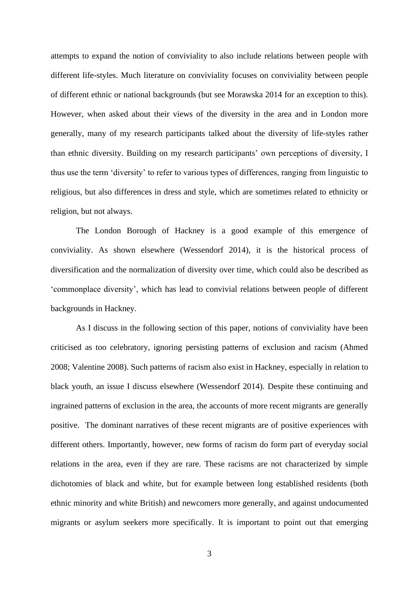attempts to expand the notion of conviviality to also include relations between people with different life-styles. Much literature on conviviality focuses on conviviality between people of different ethnic or national backgrounds (but see Morawska 2014 for an exception to this). However, when asked about their views of the diversity in the area and in London more generally, many of my research participants talked about the diversity of life-styles rather than ethnic diversity. Building on my research participants' own perceptions of diversity, I thus use the term 'diversity' to refer to various types of differences, ranging from linguistic to religious, but also differences in dress and style, which are sometimes related to ethnicity or religion, but not always.

The London Borough of Hackney is a good example of this emergence of conviviality. As shown elsewhere (Wessendorf 2014), it is the historical process of diversification and the normalization of diversity over time, which could also be described as 'commonplace diversity', which has lead to convivial relations between people of different backgrounds in Hackney.

As I discuss in the following section of this paper, notions of conviviality have been criticised as too celebratory, ignoring persisting patterns of exclusion and racism (Ahmed 2008; Valentine 2008). Such patterns of racism also exist in Hackney, especially in relation to black youth, an issue I discuss elsewhere (Wessendorf 2014). Despite these continuing and ingrained patterns of exclusion in the area, the accounts of more recent migrants are generally positive. The dominant narratives of these recent migrants are of positive experiences with different others. Importantly, however, new forms of racism do form part of everyday social relations in the area, even if they are rare. These racisms are not characterized by simple dichotomies of black and white, but for example between long established residents (both ethnic minority and white British) and newcomers more generally, and against undocumented migrants or asylum seekers more specifically. It is important to point out that emerging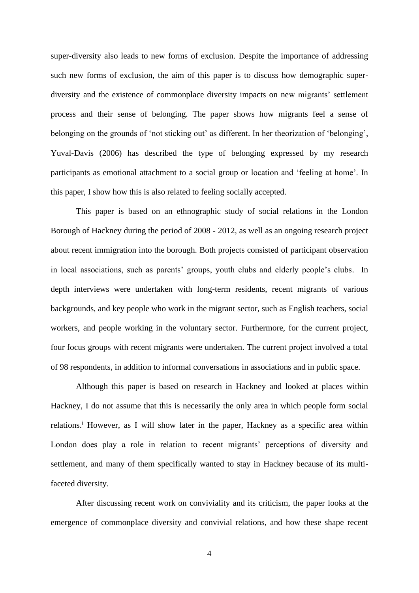super-diversity also leads to new forms of exclusion. Despite the importance of addressing such new forms of exclusion, the aim of this paper is to discuss how demographic superdiversity and the existence of commonplace diversity impacts on new migrants' settlement process and their sense of belonging. The paper shows how migrants feel a sense of belonging on the grounds of 'not sticking out' as different. In her theorization of 'belonging', Yuval-Davis (2006) has described the type of belonging expressed by my research participants as emotional attachment to a social group or location and 'feeling at home'. In this paper, I show how this is also related to feeling socially accepted.

This paper is based on an ethnographic study of social relations in the London Borough of Hackney during the period of 2008 - 2012, as well as an ongoing research project about recent immigration into the borough. Both projects consisted of participant observation in local associations, such as parents' groups, youth clubs and elderly people's clubs. In depth interviews were undertaken with long-term residents, recent migrants of various backgrounds, and key people who work in the migrant sector, such as English teachers, social workers, and people working in the voluntary sector. Furthermore, for the current project, four focus groups with recent migrants were undertaken. The current project involved a total of 98 respondents, in addition to informal conversations in associations and in public space.

Although this paper is based on research in Hackney and looked at places within Hackney, I do not assume that this is necessarily the only area in which people form social relations.<sup>i</sup> However, as I will show later in the paper, Hackney as a specific area within London does play a role in relation to recent migrants' perceptions of diversity and settlement, and many of them specifically wanted to stay in Hackney because of its multifaceted diversity.

After discussing recent work on conviviality and its criticism, the paper looks at the emergence of commonplace diversity and convivial relations, and how these shape recent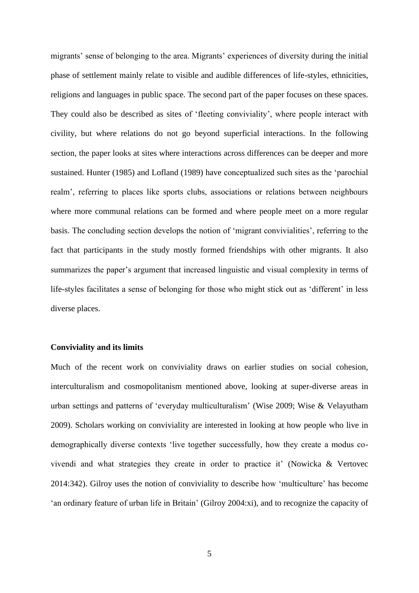migrants' sense of belonging to the area. Migrants' experiences of diversity during the initial phase of settlement mainly relate to visible and audible differences of life-styles, ethnicities, religions and languages in public space. The second part of the paper focuses on these spaces. They could also be described as sites of 'fleeting conviviality', where people interact with civility, but where relations do not go beyond superficial interactions. In the following section, the paper looks at sites where interactions across differences can be deeper and more sustained. Hunter (1985) and Lofland (1989) have conceptualized such sites as the 'parochial realm', referring to places like sports clubs, associations or relations between neighbours where more communal relations can be formed and where people meet on a more regular basis. The concluding section develops the notion of 'migrant convivialities', referring to the fact that participants in the study mostly formed friendships with other migrants. It also summarizes the paper's argument that increased linguistic and visual complexity in terms of life-styles facilitates a sense of belonging for those who might stick out as 'different' in less diverse places.

#### **Conviviality and its limits**

Much of the recent work on conviviality draws on earlier studies on social cohesion, interculturalism and cosmopolitanism mentioned above, looking at super-diverse areas in urban settings and patterns of 'everyday multiculturalism' (Wise 2009; Wise & Velayutham 2009). Scholars working on conviviality are interested in looking at how people who live in demographically diverse contexts 'live together successfully, how they create a modus covivendi and what strategies they create in order to practice it' (Nowicka & Vertovec 2014:342). Gilroy uses the notion of conviviality to describe how 'multiculture' has become 'an ordinary feature of urban life in Britain' (Gilroy 2004:xi), and to recognize the capacity of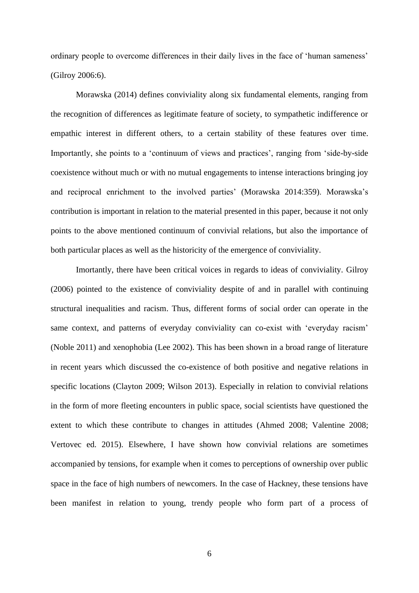ordinary people to overcome differences in their daily lives in the face of 'human sameness' (Gilroy 2006:6).

Morawska (2014) defines conviviality along six fundamental elements, ranging from the recognition of differences as legitimate feature of society, to sympathetic indifference or empathic interest in different others, to a certain stability of these features over time. Importantly, she points to a 'continuum of views and practices', ranging from 'side-by-side coexistence without much or with no mutual engagements to intense interactions bringing joy and reciprocal enrichment to the involved parties' (Morawska 2014:359). Morawska's contribution is important in relation to the material presented in this paper, because it not only points to the above mentioned continuum of convivial relations, but also the importance of both particular places as well as the historicity of the emergence of conviviality.

Imortantly, there have been critical voices in regards to ideas of conviviality. Gilroy (2006) pointed to the existence of conviviality despite of and in parallel with continuing structural inequalities and racism. Thus, different forms of social order can operate in the same context, and patterns of everyday conviviality can co-exist with 'everyday racism' (Noble 2011) and xenophobia (Lee 2002). This has been shown in a broad range of literature in recent years which discussed the co-existence of both positive and negative relations in specific locations (Clayton 2009; Wilson 2013). Especially in relation to convivial relations in the form of more fleeting encounters in public space, social scientists have questioned the extent to which these contribute to changes in attitudes (Ahmed 2008; Valentine 2008; Vertovec ed. 2015). Elsewhere, I have shown how convivial relations are sometimes accompanied by tensions, for example when it comes to perceptions of ownership over public space in the face of high numbers of newcomers. In the case of Hackney, these tensions have been manifest in relation to young, trendy people who form part of a process of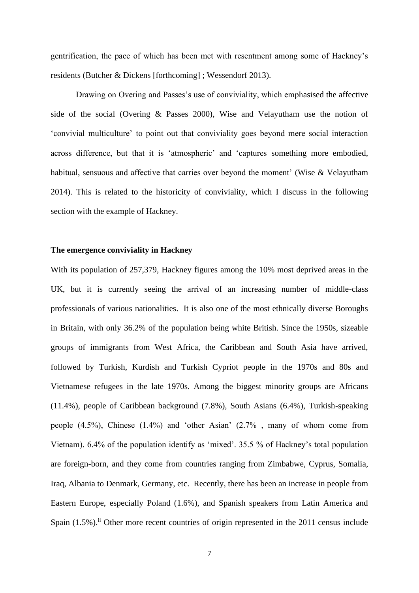gentrification, the pace of which has been met with resentment among some of Hackney's residents (Butcher & Dickens [forthcoming] ; Wessendorf 2013).

Drawing on Overing and Passes's use of conviviality, which emphasised the affective side of the social (Overing & Passes 2000), Wise and Velayutham use the notion of 'convivial multiculture' to point out that conviviality goes beyond mere social interaction across difference, but that it is 'atmospheric' and 'captures something more embodied, habitual, sensuous and affective that carries over beyond the moment' (Wise & Velayutham 2014). This is related to the historicity of conviviality, which I discuss in the following section with the example of Hackney.

## **The emergence conviviality in Hackney**

With its population of 257,379, Hackney figures among the 10% most deprived areas in the UK, but it is currently seeing the arrival of an increasing number of middle-class professionals of various nationalities. It is also one of the most ethnically diverse Boroughs in Britain, with only 36.2% of the population being white British. Since the 1950s, sizeable groups of immigrants from West Africa, the Caribbean and South Asia have arrived, followed by Turkish, Kurdish and Turkish Cypriot people in the 1970s and 80s and Vietnamese refugees in the late 1970s. Among the biggest minority groups are Africans (11.4%), people of Caribbean background (7.8%), South Asians (6.4%), Turkish-speaking people (4.5%), Chinese (1.4%) and 'other Asian' (2.7% , many of whom come from Vietnam). 6.4% of the population identify as 'mixed'. 35.5 % of Hackney's total population are foreign-born, and they come from countries ranging from Zimbabwe, Cyprus, Somalia, Iraq, Albania to Denmark, Germany, etc. Recently, there has been an increase in people from Eastern Europe, especially Poland (1.6%), and Spanish speakers from Latin America and Spain (1.5%).<sup>ii</sup> Other more recent countries of origin represented in the 2011 census include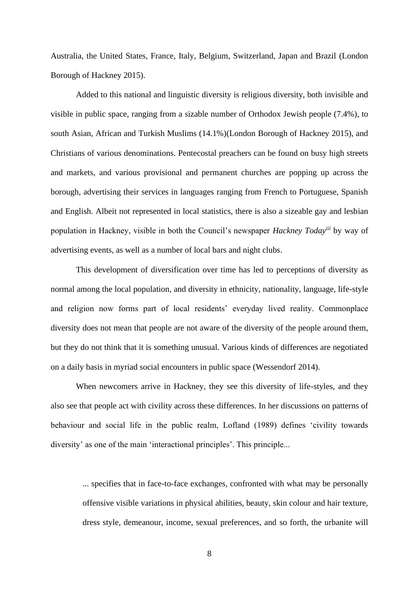Australia, the United States, France, Italy, Belgium, Switzerland, Japan and Brazil (London Borough of Hackney 2015).

Added to this national and linguistic diversity is religious diversity, both invisible and visible in public space, ranging from a sizable number of Orthodox Jewish people (7.4%), to south Asian, African and Turkish Muslims (14.1%)(London Borough of Hackney 2015), and Christians of various denominations. Pentecostal preachers can be found on busy high streets and markets, and various provisional and permanent churches are popping up across the borough, advertising their services in languages ranging from French to Portuguese, Spanish and English. Albeit not represented in local statistics, there is also a sizeable gay and lesbian population in Hackney, visible in both the Council's newspaper *Hackney Todayiii* by way of advertising events, as well as a number of local bars and night clubs.

This development of diversification over time has led to perceptions of diversity as normal among the local population, and diversity in ethnicity, nationality, language, life-style and religion now forms part of local residents' everyday lived reality. Commonplace diversity does not mean that people are not aware of the diversity of the people around them, but they do not think that it is something unusual. Various kinds of differences are negotiated on a daily basis in myriad social encounters in public space (Wessendorf 2014).

When newcomers arrive in Hackney, they see this diversity of life-styles, and they also see that people act with civility across these differences. In her discussions on patterns of behaviour and social life in the public realm, Lofland (1989) defines 'civility towards diversity' as one of the main 'interactional principles'. This principle...

... specifies that in face-to-face exchanges, confronted with what may be personally offensive visible variations in physical abilities, beauty, skin colour and hair texture, dress style, demeanour, income, sexual preferences, and so forth, the urbanite will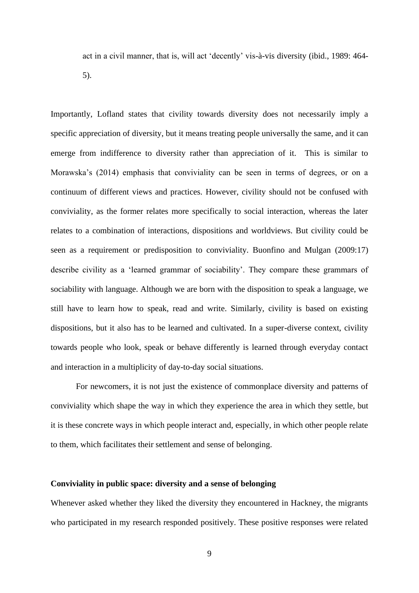act in a civil manner, that is, will act 'decently' vis-à-vis diversity (ibid., 1989: 464- 5).

Importantly, Lofland states that civility towards diversity does not necessarily imply a specific appreciation of diversity, but it means treating people universally the same, and it can emerge from indifference to diversity rather than appreciation of it. This is similar to Morawska's (2014) emphasis that conviviality can be seen in terms of degrees, or on a continuum of different views and practices. However, civility should not be confused with conviviality, as the former relates more specifically to social interaction, whereas the later relates to a combination of interactions, dispositions and worldviews. But civility could be seen as a requirement or predisposition to conviviality. Buonfino and Mulgan (2009:17) describe civility as a 'learned grammar of sociability'. They compare these grammars of sociability with language. Although we are born with the disposition to speak a language, we still have to learn how to speak, read and write. Similarly, civility is based on existing dispositions, but it also has to be learned and cultivated. In a super-diverse context, civility towards people who look, speak or behave differently is learned through everyday contact and interaction in a multiplicity of day-to-day social situations.

For newcomers, it is not just the existence of commonplace diversity and patterns of conviviality which shape the way in which they experience the area in which they settle, but it is these concrete ways in which people interact and, especially, in which other people relate to them, which facilitates their settlement and sense of belonging.

#### **Conviviality in public space: diversity and a sense of belonging**

Whenever asked whether they liked the diversity they encountered in Hackney, the migrants who participated in my research responded positively. These positive responses were related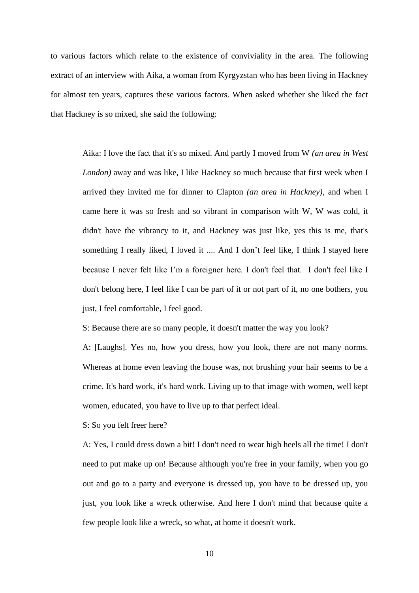to various factors which relate to the existence of conviviality in the area. The following extract of an interview with Aika, a woman from Kyrgyzstan who has been living in Hackney for almost ten years, captures these various factors. When asked whether she liked the fact that Hackney is so mixed, she said the following:

Aika: I love the fact that it's so mixed. And partly I moved from W *(an area in West London)* away and was like, I like Hackney so much because that first week when I arrived they invited me for dinner to Clapton *(an area in Hackney)*, and when I came here it was so fresh and so vibrant in comparison with W, W was cold, it didn't have the vibrancy to it, and Hackney was just like, yes this is me, that's something I really liked, I loved it .... And I don't feel like, I think I stayed here because I never felt like I'm a foreigner here. I don't feel that. I don't feel like I don't belong here, I feel like I can be part of it or not part of it, no one bothers, you just, I feel comfortable, I feel good.

S: Because there are so many people, it doesn't matter the way you look?

A: [Laughs]. Yes no, how you dress, how you look, there are not many norms. Whereas at home even leaving the house was, not brushing your hair seems to be a crime. It's hard work, it's hard work. Living up to that image with women, well kept women, educated, you have to live up to that perfect ideal.

S: So you felt freer here?

A: Yes, I could dress down a bit! I don't need to wear high heels all the time! I don't need to put make up on! Because although you're free in your family, when you go out and go to a party and everyone is dressed up, you have to be dressed up, you just, you look like a wreck otherwise. And here I don't mind that because quite a few people look like a wreck, so what, at home it doesn't work.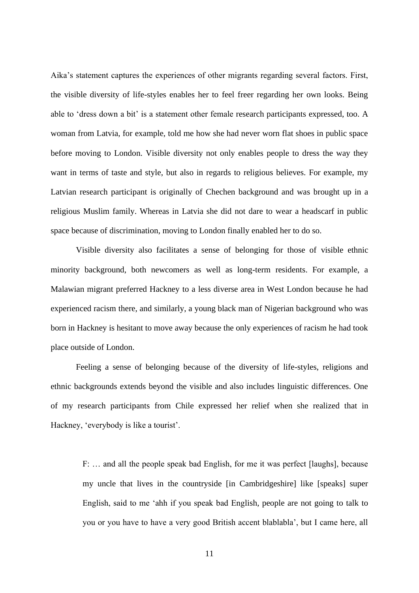Aika's statement captures the experiences of other migrants regarding several factors. First, the visible diversity of life-styles enables her to feel freer regarding her own looks. Being able to 'dress down a bit' is a statement other female research participants expressed, too. A woman from Latvia, for example, told me how she had never worn flat shoes in public space before moving to London. Visible diversity not only enables people to dress the way they want in terms of taste and style, but also in regards to religious believes. For example, my Latvian research participant is originally of Chechen background and was brought up in a religious Muslim family. Whereas in Latvia she did not dare to wear a headscarf in public space because of discrimination, moving to London finally enabled her to do so.

Visible diversity also facilitates a sense of belonging for those of visible ethnic minority background, both newcomers as well as long-term residents. For example, a Malawian migrant preferred Hackney to a less diverse area in West London because he had experienced racism there, and similarly, a young black man of Nigerian background who was born in Hackney is hesitant to move away because the only experiences of racism he had took place outside of London.

Feeling a sense of belonging because of the diversity of life-styles, religions and ethnic backgrounds extends beyond the visible and also includes linguistic differences. One of my research participants from Chile expressed her relief when she realized that in Hackney, 'everybody is like a tourist'.

F: … and all the people speak bad English, for me it was perfect [laughs], because my uncle that lives in the countryside [in Cambridgeshire] like [speaks] super English, said to me 'ahh if you speak bad English, people are not going to talk to you or you have to have a very good British accent blablabla', but I came here, all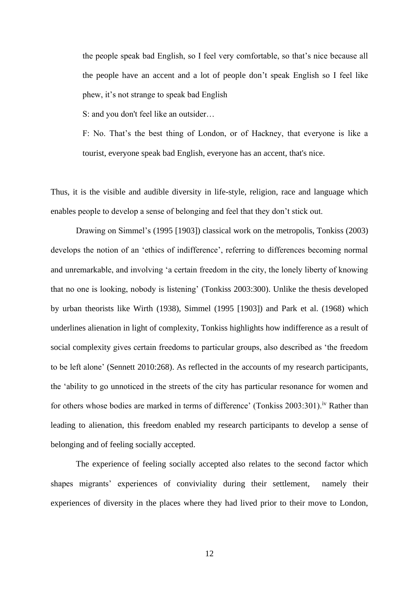the people speak bad English, so I feel very comfortable, so that's nice because all the people have an accent and a lot of people don't speak English so I feel like phew, it's not strange to speak bad English

S: and you don't feel like an outsider…

F: No. That's the best thing of London, or of Hackney, that everyone is like a tourist, everyone speak bad English, everyone has an accent, that's nice.

Thus, it is the visible and audible diversity in life-style, religion, race and language which enables people to develop a sense of belonging and feel that they don't stick out.

Drawing on Simmel's (1995 [1903]) classical work on the metropolis, Tonkiss (2003) develops the notion of an 'ethics of indifference', referring to differences becoming normal and unremarkable, and involving 'a certain freedom in the city, the lonely liberty of knowing that no one is looking, nobody is listening' (Tonkiss 2003:300). Unlike the thesis developed by urban theorists like Wirth (1938), Simmel (1995 [1903]) and Park et al. (1968) which underlines alienation in light of complexity, Tonkiss highlights how indifference as a result of social complexity gives certain freedoms to particular groups, also described as 'the freedom to be left alone' (Sennett 2010:268). As reflected in the accounts of my research participants, the 'ability to go unnoticed in the streets of the city has particular resonance for women and for others whose bodies are marked in terms of difference' (Tonkiss 2003:301).<sup>iv</sup> Rather than leading to alienation, this freedom enabled my research participants to develop a sense of belonging and of feeling socially accepted.

The experience of feeling socially accepted also relates to the second factor which shapes migrants' experiences of conviviality during their settlement, namely their experiences of diversity in the places where they had lived prior to their move to London,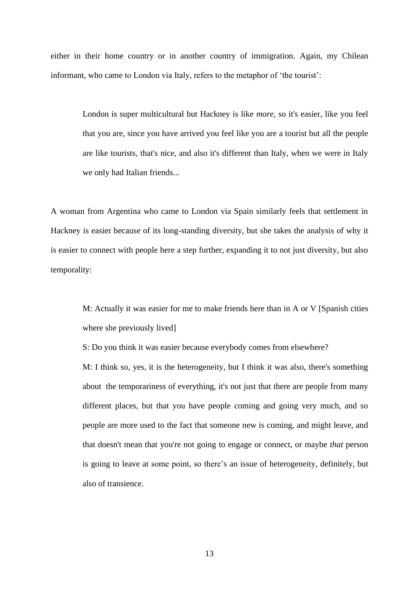either in their home country or in another country of immigration. Again, my Chilean informant, who came to London via Italy, refers to the metaphor of 'the tourist':

> London is super multicultural but Hackney is like *more*, so it's easier, like you feel that you are, since you have arrived you feel like you are a tourist but all the people are like tourists, that's nice, and also it's different than Italy, when we were in Italy we only had Italian friends...

A woman from Argentina who came to London via Spain similarly feels that settlement in Hackney is easier because of its long-standing diversity, but she takes the analysis of why it is easier to connect with people here a step further, expanding it to not just diversity, but also temporality:

M: Actually it was easier for me to make friends here than in A or V [Spanish cities where she previously lived]

S: Do you think it was easier because everybody comes from elsewhere?

M: I think so, yes, it is the heterogeneity, but I think it was also, there's something about the temporariness of everything, it's not just that there are people from many different places, but that you have people coming and going very much, and so people are more used to the fact that someone new is coming, and might leave, and that doesn't mean that you're not going to engage or connect, or maybe *that* person is going to leave at some point, so there's an issue of heterogeneity, definitely, but also of transience.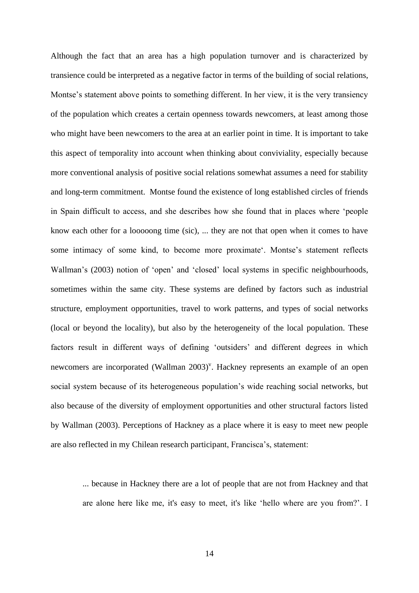Although the fact that an area has a high population turnover and is characterized by transience could be interpreted as a negative factor in terms of the building of social relations, Montse's statement above points to something different. In her view, it is the very transiency of the population which creates a certain openness towards newcomers, at least among those who might have been newcomers to the area at an earlier point in time. It is important to take this aspect of temporality into account when thinking about conviviality, especially because more conventional analysis of positive social relations somewhat assumes a need for stability and long-term commitment. Montse found the existence of long established circles of friends in Spain difficult to access, and she describes how she found that in places where 'people know each other for a looooong time (sic), ... they are not that open when it comes to have some intimacy of some kind, to become more proximate'. Montse's statement reflects Wallman's (2003) notion of 'open' and 'closed' local systems in specific neighbourhoods, sometimes within the same city. These systems are defined by factors such as industrial structure, employment opportunities, travel to work patterns, and types of social networks (local or beyond the locality), but also by the heterogeneity of the local population. These factors result in different ways of defining 'outsiders' and different degrees in which newcomers are incorporated (Wallman 2003)<sup>v</sup>. Hackney represents an example of an open social system because of its heterogeneous population's wide reaching social networks, but also because of the diversity of employment opportunities and other structural factors listed by Wallman (2003). Perceptions of Hackney as a place where it is easy to meet new people are also reflected in my Chilean research participant, Francisca's, statement:

... because in Hackney there are a lot of people that are not from Hackney and that are alone here like me, it's easy to meet, it's like 'hello where are you from?'. I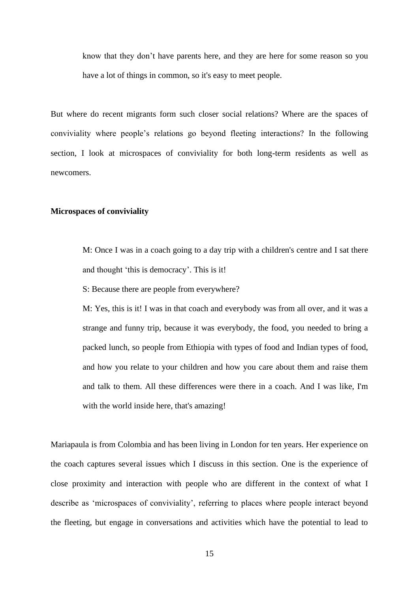know that they don't have parents here, and they are here for some reason so you have a lot of things in common, so it's easy to meet people.

But where do recent migrants form such closer social relations? Where are the spaces of conviviality where people's relations go beyond fleeting interactions? In the following section, I look at microspaces of conviviality for both long-term residents as well as newcomers.

#### **Microspaces of conviviality**

M: Once I was in a coach going to a day trip with a children's centre and I sat there and thought 'this is democracy'. This is it!

S: Because there are people from everywhere?

M: Yes, this is it! I was in that coach and everybody was from all over, and it was a strange and funny trip, because it was everybody, the food, you needed to bring a packed lunch, so people from Ethiopia with types of food and Indian types of food, and how you relate to your children and how you care about them and raise them and talk to them. All these differences were there in a coach. And I was like, I'm with the world inside here, that's amazing!

Mariapaula is from Colombia and has been living in London for ten years. Her experience on the coach captures several issues which I discuss in this section. One is the experience of close proximity and interaction with people who are different in the context of what I describe as 'microspaces of conviviality', referring to places where people interact beyond the fleeting, but engage in conversations and activities which have the potential to lead to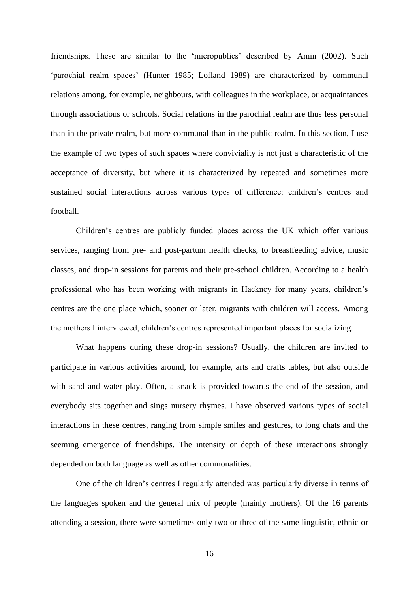friendships. These are similar to the 'micropublics' described by Amin (2002). Such 'parochial realm spaces' (Hunter 1985; Lofland 1989) are characterized by communal relations among, for example, neighbours, with colleagues in the workplace, or acquaintances through associations or schools. Social relations in the parochial realm are thus less personal than in the private realm, but more communal than in the public realm. In this section, I use the example of two types of such spaces where conviviality is not just a characteristic of the acceptance of diversity, but where it is characterized by repeated and sometimes more sustained social interactions across various types of difference: children's centres and football.

Children's centres are publicly funded places across the UK which offer various services, ranging from pre- and post-partum health checks, to breastfeeding advice, music classes, and drop-in sessions for parents and their pre-school children. According to a health professional who has been working with migrants in Hackney for many years, children's centres are the one place which, sooner or later, migrants with children will access. Among the mothers I interviewed, children's centres represented important places for socializing.

What happens during these drop-in sessions? Usually, the children are invited to participate in various activities around, for example, arts and crafts tables, but also outside with sand and water play. Often, a snack is provided towards the end of the session, and everybody sits together and sings nursery rhymes. I have observed various types of social interactions in these centres, ranging from simple smiles and gestures, to long chats and the seeming emergence of friendships. The intensity or depth of these interactions strongly depended on both language as well as other commonalities.

One of the children's centres I regularly attended was particularly diverse in terms of the languages spoken and the general mix of people (mainly mothers). Of the 16 parents attending a session, there were sometimes only two or three of the same linguistic, ethnic or

16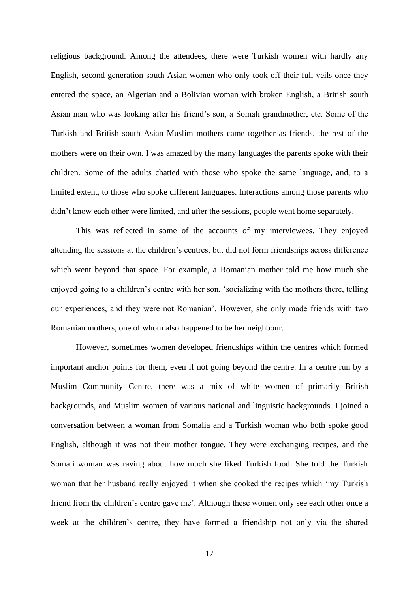religious background. Among the attendees, there were Turkish women with hardly any English, second-generation south Asian women who only took off their full veils once they entered the space, an Algerian and a Bolivian woman with broken English, a British south Asian man who was looking after his friend's son, a Somali grandmother, etc. Some of the Turkish and British south Asian Muslim mothers came together as friends, the rest of the mothers were on their own. I was amazed by the many languages the parents spoke with their children. Some of the adults chatted with those who spoke the same language, and, to a limited extent, to those who spoke different languages. Interactions among those parents who didn't know each other were limited, and after the sessions, people went home separately.

This was reflected in some of the accounts of my interviewees. They enjoyed attending the sessions at the children's centres, but did not form friendships across difference which went beyond that space. For example, a Romanian mother told me how much she enjoyed going to a children's centre with her son, 'socializing with the mothers there, telling our experiences, and they were not Romanian'. However, she only made friends with two Romanian mothers, one of whom also happened to be her neighbour.

However, sometimes women developed friendships within the centres which formed important anchor points for them, even if not going beyond the centre. In a centre run by a Muslim Community Centre, there was a mix of white women of primarily British backgrounds, and Muslim women of various national and linguistic backgrounds. I joined a conversation between a woman from Somalia and a Turkish woman who both spoke good English, although it was not their mother tongue. They were exchanging recipes, and the Somali woman was raving about how much she liked Turkish food. She told the Turkish woman that her husband really enjoyed it when she cooked the recipes which 'my Turkish friend from the children's centre gave me'. Although these women only see each other once a week at the children's centre, they have formed a friendship not only via the shared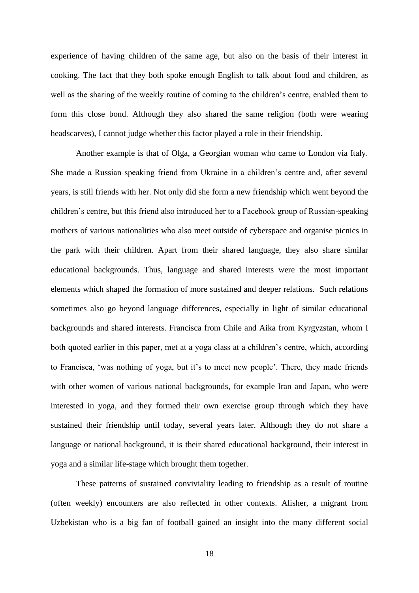experience of having children of the same age, but also on the basis of their interest in cooking. The fact that they both spoke enough English to talk about food and children, as well as the sharing of the weekly routine of coming to the children's centre, enabled them to form this close bond. Although they also shared the same religion (both were wearing headscarves), I cannot judge whether this factor played a role in their friendship.

Another example is that of Olga, a Georgian woman who came to London via Italy. She made a Russian speaking friend from Ukraine in a children's centre and, after several years, is still friends with her. Not only did she form a new friendship which went beyond the children's centre, but this friend also introduced her to a Facebook group of Russian-speaking mothers of various nationalities who also meet outside of cyberspace and organise picnics in the park with their children. Apart from their shared language, they also share similar educational backgrounds. Thus, language and shared interests were the most important elements which shaped the formation of more sustained and deeper relations. Such relations sometimes also go beyond language differences, especially in light of similar educational backgrounds and shared interests. Francisca from Chile and Aika from Kyrgyzstan, whom I both quoted earlier in this paper, met at a yoga class at a children's centre, which, according to Francisca, 'was nothing of yoga, but it's to meet new people'. There, they made friends with other women of various national backgrounds, for example Iran and Japan, who were interested in yoga, and they formed their own exercise group through which they have sustained their friendship until today, several years later. Although they do not share a language or national background, it is their shared educational background, their interest in yoga and a similar life-stage which brought them together.

These patterns of sustained conviviality leading to friendship as a result of routine (often weekly) encounters are also reflected in other contexts. Alisher, a migrant from Uzbekistan who is a big fan of football gained an insight into the many different social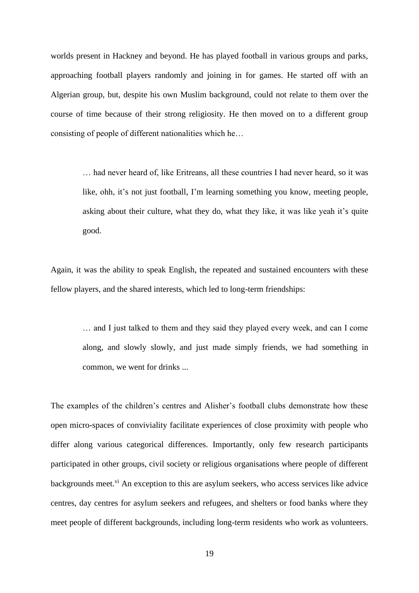worlds present in Hackney and beyond. He has played football in various groups and parks, approaching football players randomly and joining in for games. He started off with an Algerian group, but, despite his own Muslim background, could not relate to them over the course of time because of their strong religiosity. He then moved on to a different group consisting of people of different nationalities which he…

> … had never heard of, like Eritreans, all these countries I had never heard, so it was like, ohh, it's not just football, I'm learning something you know, meeting people, asking about their culture, what they do, what they like, it was like yeah it's quite good.

Again, it was the ability to speak English, the repeated and sustained encounters with these fellow players, and the shared interests, which led to long-term friendships:

> … and I just talked to them and they said they played every week, and can I come along, and slowly slowly, and just made simply friends, we had something in common, we went for drinks ...

The examples of the children's centres and Alisher's football clubs demonstrate how these open micro-spaces of conviviality facilitate experiences of close proximity with people who differ along various categorical differences. Importantly, only few research participants participated in other groups, civil society or religious organisations where people of different backgrounds meet.<sup>vi</sup> An exception to this are asylum seekers, who access services like advice centres, day centres for asylum seekers and refugees, and shelters or food banks where they meet people of different backgrounds, including long-term residents who work as volunteers.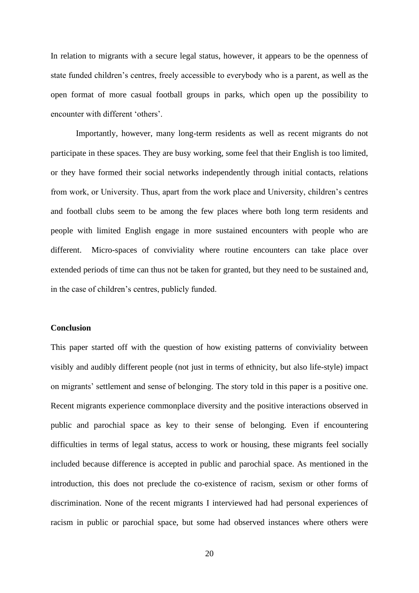In relation to migrants with a secure legal status, however, it appears to be the openness of state funded children's centres, freely accessible to everybody who is a parent, as well as the open format of more casual football groups in parks, which open up the possibility to encounter with different 'others'.

Importantly, however, many long-term residents as well as recent migrants do not participate in these spaces. They are busy working, some feel that their English is too limited, or they have formed their social networks independently through initial contacts, relations from work, or University. Thus, apart from the work place and University, children's centres and football clubs seem to be among the few places where both long term residents and people with limited English engage in more sustained encounters with people who are different. Micro-spaces of conviviality where routine encounters can take place over extended periods of time can thus not be taken for granted, but they need to be sustained and, in the case of children's centres, publicly funded.

#### **Conclusion**

This paper started off with the question of how existing patterns of conviviality between visibly and audibly different people (not just in terms of ethnicity, but also life-style) impact on migrants' settlement and sense of belonging. The story told in this paper is a positive one. Recent migrants experience commonplace diversity and the positive interactions observed in public and parochial space as key to their sense of belonging. Even if encountering difficulties in terms of legal status, access to work or housing, these migrants feel socially included because difference is accepted in public and parochial space. As mentioned in the introduction, this does not preclude the co-existence of racism, sexism or other forms of discrimination. None of the recent migrants I interviewed had had personal experiences of racism in public or parochial space, but some had observed instances where others were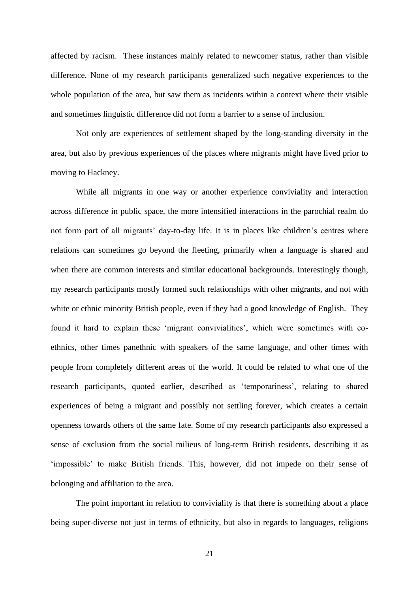affected by racism. These instances mainly related to newcomer status, rather than visible difference. None of my research participants generalized such negative experiences to the whole population of the area, but saw them as incidents within a context where their visible and sometimes linguistic difference did not form a barrier to a sense of inclusion.

Not only are experiences of settlement shaped by the long-standing diversity in the area, but also by previous experiences of the places where migrants might have lived prior to moving to Hackney.

While all migrants in one way or another experience conviviality and interaction across difference in public space, the more intensified interactions in the parochial realm do not form part of all migrants' day-to-day life. It is in places like children's centres where relations can sometimes go beyond the fleeting, primarily when a language is shared and when there are common interests and similar educational backgrounds. Interestingly though, my research participants mostly formed such relationships with other migrants, and not with white or ethnic minority British people, even if they had a good knowledge of English. They found it hard to explain these 'migrant convivialities', which were sometimes with coethnics, other times panethnic with speakers of the same language, and other times with people from completely different areas of the world. It could be related to what one of the research participants, quoted earlier, described as 'temporariness', relating to shared experiences of being a migrant and possibly not settling forever, which creates a certain openness towards others of the same fate. Some of my research participants also expressed a sense of exclusion from the social milieus of long-term British residents, describing it as 'impossible' to make British friends. This, however, did not impede on their sense of belonging and affiliation to the area.

The point important in relation to conviviality is that there is something about a place being super-diverse not just in terms of ethnicity, but also in regards to languages, religions

21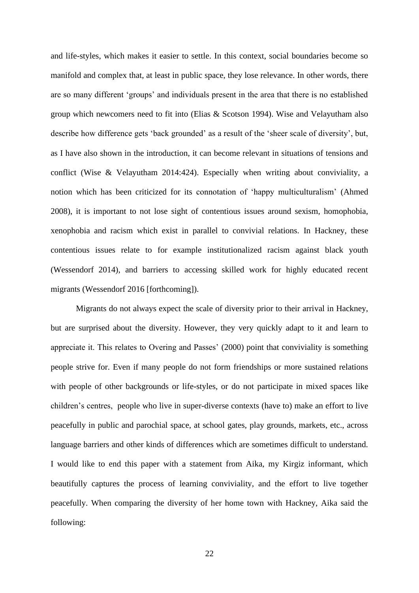and life-styles, which makes it easier to settle. In this context, social boundaries become so manifold and complex that, at least in public space, they lose relevance. In other words, there are so many different 'groups' and individuals present in the area that there is no established group which newcomers need to fit into (Elias & Scotson 1994). Wise and Velayutham also describe how difference gets 'back grounded' as a result of the 'sheer scale of diversity', but, as I have also shown in the introduction, it can become relevant in situations of tensions and conflict (Wise & Velayutham 2014:424). Especially when writing about conviviality, a notion which has been criticized for its connotation of 'happy multiculturalism' (Ahmed 2008), it is important to not lose sight of contentious issues around sexism, homophobia, xenophobia and racism which exist in parallel to convivial relations. In Hackney, these contentious issues relate to for example institutionalized racism against black youth (Wessendorf 2014), and barriers to accessing skilled work for highly educated recent migrants (Wessendorf 2016 [forthcoming]).

Migrants do not always expect the scale of diversity prior to their arrival in Hackney, but are surprised about the diversity. However, they very quickly adapt to it and learn to appreciate it. This relates to Overing and Passes' (2000) point that conviviality is something people strive for. Even if many people do not form friendships or more sustained relations with people of other backgrounds or life-styles, or do not participate in mixed spaces like children's centres, people who live in super-diverse contexts (have to) make an effort to live peacefully in public and parochial space, at school gates, play grounds, markets, etc., across language barriers and other kinds of differences which are sometimes difficult to understand. I would like to end this paper with a statement from Aika, my Kirgiz informant, which beautifully captures the process of learning conviviality, and the effort to live together peacefully. When comparing the diversity of her home town with Hackney, Aika said the following: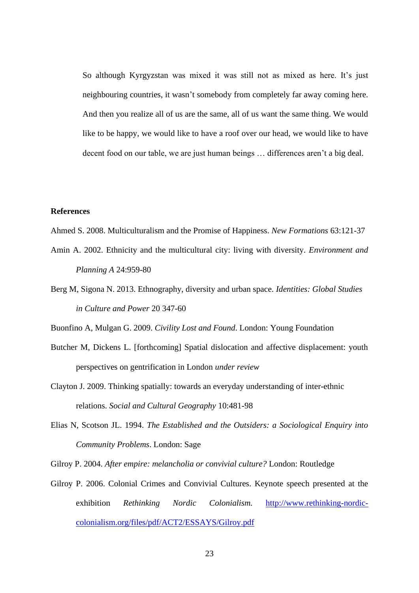So although Kyrgyzstan was mixed it was still not as mixed as here. It's just neighbouring countries, it wasn't somebody from completely far away coming here. And then you realize all of us are the same, all of us want the same thing. We would like to be happy, we would like to have a roof over our head, we would like to have decent food on our table, we are just human beings … differences aren't a big deal.

# **References**

- Ahmed S. 2008. Multiculturalism and the Promise of Happiness. *New Formations* 63:121-37
- Amin A. 2002. Ethnicity and the multicultural city: living with diversity. *Environment and Planning A* 24:959-80
- Berg M, Sigona N. 2013. Ethnography, diversity and urban space. *Identities: Global Studies in Culture and Power* 20 347-60

Buonfino A, Mulgan G. 2009. *Civility Lost and Found*. London: Young Foundation

- Butcher M, Dickens L. [forthcoming] Spatial dislocation and affective displacement: youth perspectives on gentrification in London *under review*
- Clayton J. 2009. Thinking spatially: towards an everyday understanding of inter-ethnic relations. *Social and Cultural Geography* 10:481-98
- Elias N, Scotson JL. 1994. *The Established and the Outsiders: a Sociological Enquiry into Community Problems*. London: Sage

Gilroy P. 2004. *After empire: melancholia or convivial culture?* London: Routledge

Gilroy P. 2006. Colonial Crimes and Convivial Cultures. Keynote speech presented at the exhibition *Rethinking Nordic Colonialism.* [http://www.rethinking-nordic](http://www.rethinking-nordic-colonialism.org/files/pdf/ACT2/ESSAYS/Gilroy.pdf)[colonialism.org/files/pdf/ACT2/ESSAYS/Gilroy.pdf](http://www.rethinking-nordic-colonialism.org/files/pdf/ACT2/ESSAYS/Gilroy.pdf)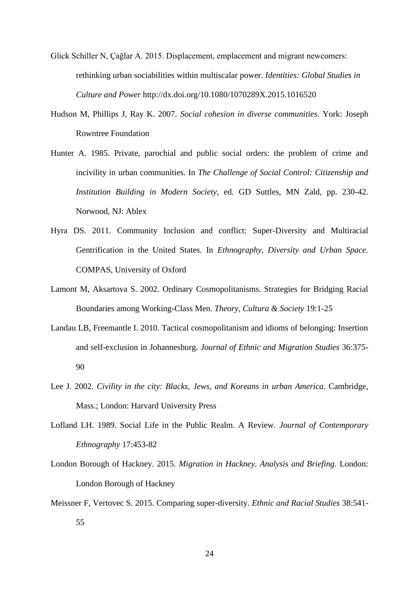- Glick Schiller N, Çağlar A. 2015. Displacement, emplacement and migrant newcomers: rethinking urban sociabilities within multiscalar power. *Identities: Global Studies in Culture and Power* http://dx.doi.org/10.1080/1070289X.2015.1016520
- Hudson M, Phillips J, Ray K. 2007. *Social cohesion in diverse communities*. York: Joseph Rowntree Foundation
- Hunter A. 1985. Private, parochial and public social orders: the problem of crime and incivility in urban communities. In *The Challenge of Social Control: Citizenship and Institution Building in Modern Society*, ed. GD Suttles, MN Zald, pp. 230-42. Norwood, NJ: Ablex
- Hyra DS. 2011. Community Inclusion and conflict: Super-Diversity and Multiracial Gentrification in the United States. In *Ethnography, Diversity and Urban Space*. COMPAS, University of Oxford
- Lamont M, Aksartova S. 2002. Ordinary Cosmopolitanisms. Strategies for Bridging Racial Boundaries among Working-Class Men. *Theory, Cultura & Society* 19:1-25
- Landau LB, Freemantle I. 2010. Tactical cosmopolitanism and idioms of belonging: Insertion and self-exclusion in Johannesburg. *Journal of Ethnic and Migration Studies* 36:375- 90
- Lee J. 2002. *Civility in the city: Blacks, Jews, and Koreans in urban America*. Cambridge, Mass.; London: Harvard University Press
- Lofland LH. 1989. Social Life in the Public Realm. A Review. *Journal of Contemporary Ethnography* 17:453-82
- London Borough of Hackney. 2015. *Migration in Hackney. Analysis and Briefing*. London: London Borough of Hackney
- Meissner F, Vertovec S. 2015. Comparing super-diversity. *Ethnic and Racial Studies* 38:541- 55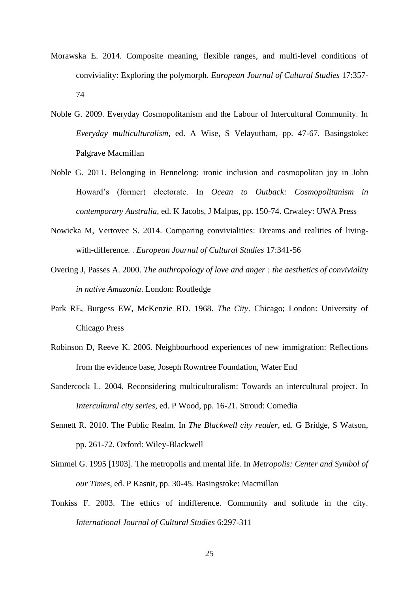- Morawska E. 2014. Composite meaning, flexible ranges, and multi-level conditions of conviviality: Exploring the polymorph. *European Journal of Cultural Studies* 17:357- 74
- Noble G. 2009. Everyday Cosmopolitanism and the Labour of Intercultural Community. In *Everyday multiculturalism*, ed. A Wise, S Velayutham, pp. 47-67. Basingstoke: Palgrave Macmillan
- Noble G. 2011. Belonging in Bennelong: ironic inclusion and cosmopolitan joy in John Howard's (former) electorate. In *Ocean to Outback: Cosmopolitanism in contemporary Australia*, ed. K Jacobs, J Malpas, pp. 150-74. Crwaley: UWA Press
- Nowicka M, Vertovec S. 2014. Comparing convivialities: Dreams and realities of livingwith-difference. . *European Journal of Cultural Studies* 17:341-56
- Overing J, Passes A. 2000. *The anthropology of love and anger : the aesthetics of conviviality in native Amazonia*. London: Routledge
- Park RE, Burgess EW, McKenzie RD. 1968. *The City*. Chicago; London: University of Chicago Press
- Robinson D, Reeve K. 2006. Neighbourhood experiences of new immigration: Reflections from the evidence base, Joseph Rowntree Foundation, Water End
- Sandercock L. 2004. Reconsidering multiculturalism: Towards an intercultural project. In *Intercultural city series*, ed. P Wood, pp. 16-21. Stroud: Comedia
- Sennett R. 2010. The Public Realm. In *The Blackwell city reader*, ed. G Bridge, S Watson, pp. 261-72. Oxford: Wiley-Blackwell
- Simmel G. 1995 [1903]. The metropolis and mental life. In *Metropolis: Center and Symbol of our Times*, ed. P Kasnit, pp. 30-45. Basingstoke: Macmillan
- Tonkiss F. 2003. The ethics of indifference. Community and solitude in the city. *International Journal of Cultural Studies* 6:297-311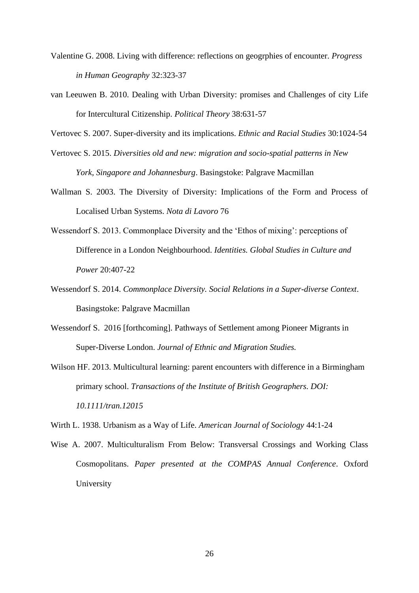- Valentine G. 2008. Living with difference: reflections on geogrphies of encounter. *Progress in Human Geography* 32:323-37
- van Leeuwen B. 2010. Dealing with Urban Diversity: promises and Challenges of city Life for Intercultural Citizenship. *Political Theory* 38:631-57

Vertovec S. 2007. Super-diversity and its implications. *Ethnic and Racial Studies* 30:1024-54

- Vertovec S. 2015. *Diversities old and new: migration and socio-spatial patterns in New York, Singapore and Johannesburg*. Basingstoke: Palgrave Macmillan
- Wallman S. 2003. The Diversity of Diversity: Implications of the Form and Process of Localised Urban Systems. *Nota di Lavoro* 76
- Wessendorf S. 2013. Commonplace Diversity and the 'Ethos of mixing': perceptions of Difference in a London Neighbourhood. *Identities. Global Studies in Culture and Power* 20:407-22
- Wessendorf S. 2014. *Commonplace Diversity. Social Relations in a Super-diverse Context*. Basingstoke: Palgrave Macmillan
- Wessendorf S. 2016 [forthcoming]. Pathways of Settlement among Pioneer Migrants in Super-Diverse London. *Journal of Ethnic and Migration Studies.*
- Wilson HF. 2013. Multicultural learning: parent encounters with difference in a Birmingham primary school. *Transactions of the Institute of British Geographers. DOI: 10.1111/tran.12015*

Wirth L. 1938. Urbanism as a Way of Life. *American Journal of Sociology* 44:1-24

Wise A. 2007. Multiculturalism From Below: Transversal Crossings and Working Class Cosmopolitans. *Paper presented at the COMPAS Annual Conference*. Oxford University